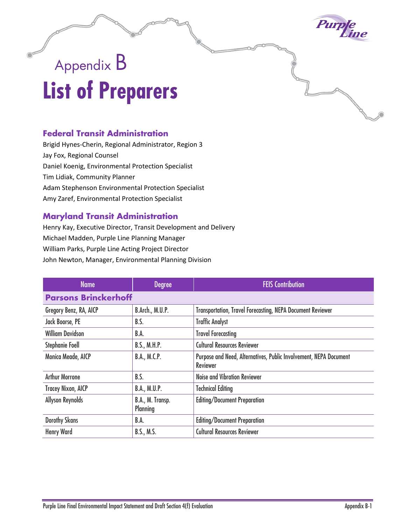

## Appendix B **List of Preparers**

## **Federal Transit Administration**

Brigid Hynes-Cherin, Regional Administrator, Region 3 Jay Fox, Regional Counsel Daniel Koenig, Environmental Protection Specialist Tim Lidiak, Community Planner Adam Stephenson Environmental Protection Specialist Amy Zaref, Environmental Protection Specialist

## **Maryland Transit Administration**

Henry Kay, Executive Director, Transit Development and Delivery Michael Madden, Purple Line Planning Manager William Parks, Purple Line Acting Project Director John Newton, Manager, Environmental Planning Division

| <b>Name</b>                 | <b>Degree</b>                       | <b>FEIS Contribution</b>                                                             |  |  |
|-----------------------------|-------------------------------------|--------------------------------------------------------------------------------------|--|--|
| <b>Parsons Brinckerhoff</b> |                                     |                                                                                      |  |  |
| Gregory Benz, RA, AICP      | B.Arch., M.U.P.                     | <b>Transportation, Travel Forecasting, NEPA Document Reviewer</b>                    |  |  |
| Jack Boorse, PE             | B.S.                                | <b>Traffic Analyst</b>                                                               |  |  |
| <b>William Davidson</b>     | B.A.                                | <b>Travel Forecasting</b>                                                            |  |  |
| Stephanie Foell             | B.S., M.H.P.                        | <b>Cultural Resources Reviewer</b>                                                   |  |  |
| Monica Meade, AICP          | B.A., M.C.P.                        | Purpose and Need, Alternatives, Public Involvement, NEPA Document<br><b>Reviewer</b> |  |  |
| <b>Arthur Morrone</b>       | B.S.                                | <b>Noise and Vibration Reviewer</b>                                                  |  |  |
| <b>Tracey Nixon, AICP</b>   | B.A., M.U.P.                        | <b>Technical Editing</b>                                                             |  |  |
| <b>Allyson Reynolds</b>     | B.A., M. Transp.<br><b>Planning</b> | <b>Editing/Document Preparation</b>                                                  |  |  |
| <b>Dorothy Skans</b>        | B.A.                                | <b>Editing/Document Preparation</b>                                                  |  |  |
| <b>Henry Ward</b>           | B.S., M.S.                          | <b>Cultural Resources Reviewer</b>                                                   |  |  |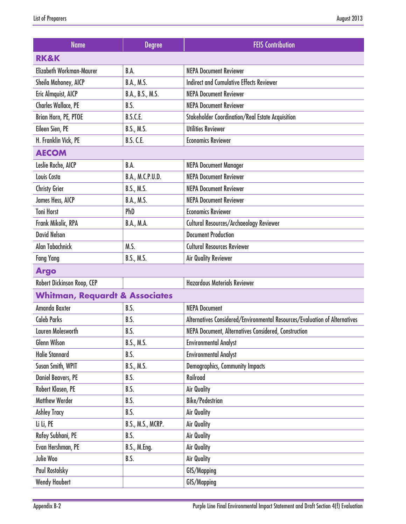| <b>Name</b>                               | <b>Degree</b>       | <b>FEIS Contribution</b>                                                   |
|-------------------------------------------|---------------------|----------------------------------------------------------------------------|
| <b>RK&amp;K</b>                           |                     |                                                                            |
| Elizabeth Workman-Maurer                  | B.A.                | <b>NEPA Document Reviewer</b>                                              |
| Sheila Mahoney, AICP                      | B.A., M.S.          | <b>Indirect and Cumulative Effects Reviewer</b>                            |
| Eric Almquist, AICP                       | B.A., B.S., M.S.    | <b>NEPA Document Reviewer</b>                                              |
| <b>Charles Wallace, PE</b>                | B.S.                | <b>NEPA Document Reviewer</b>                                              |
| Brian Horn, PE, PTOE                      | <b>B.S.C.E.</b>     | <b>Stakeholder Coordination/Real Estate Acquisition</b>                    |
| Eileen Sien, PE                           | B.S., M.S.          | <b>Utilities Reviewer</b>                                                  |
| H. Franklin Vick, PE                      | <b>B.S. C.E.</b>    | <b>Economics Reviewer</b>                                                  |
| <b>AECOM</b>                              |                     |                                                                            |
| Leslie Roche, AICP                        | B.A.                | <b>NEPA Document Manager</b>                                               |
| Louis Costa                               | B.A., M.C.P.U.D.    | <b>NEPA Document Reviewer</b>                                              |
| <b>Christy Grier</b>                      | B.S., M.S.          | <b>NEPA Document Reviewer</b>                                              |
| James Hess, AICP                          | B.A., M.S.          | <b>NEPA Document Reviewer</b>                                              |
| <b>Toni Horst</b>                         | PhD                 | <b>Economics Reviewer</b>                                                  |
| Frank Mikolic, RPA                        | B.A., M.A.          | <b>Cultural Resources/Archaeology Reviewer</b>                             |
| <b>David Nelson</b>                       |                     | <b>Document Production</b>                                                 |
| Alan Tabachnick                           | M.S.                | <b>Cultural Resources Reviewer</b>                                         |
| <b>Fang Yang</b>                          | B.S., M.S.          | <b>Air Quality Reviewer</b>                                                |
| <b>Argo</b>                               |                     |                                                                            |
| Robert Dickinson Roop, CEP                |                     | <b>Hazardous Materials Reviewer</b>                                        |
| <b>Whitman, Requardt &amp; Associates</b> |                     |                                                                            |
| Amanda Baxter                             | B.S.                | <b>NEPA Document</b>                                                       |
| <b>Caleb Parks</b>                        | B.S.                | Alternatives Considered/Environmental Resources/Evaluation of Alternatives |
| Lauren Molesworth                         | B.S.                | NEPA Document, Alternatives Considered, Construction                       |
| Glenn Wilson                              | B.S., M.S.          | <b>Environmental Analyst</b>                                               |
| <b>Halie Stannard</b>                     | B.S.                | <b>Environmental Analyst</b>                                               |
| Susan Smith, WPIT                         | B.S., M.S.          | Demographics, Community Impacts                                            |
| <b>Daniel Beavers, PE</b>                 | B.S.                | Railroad                                                                   |
| Robert Klasen, PE                         | B.S.                | <b>Air Quality</b>                                                         |
| <b>Matthew Werder</b>                     | B.S.                | <b>Bike/Pedestrian</b>                                                     |
| <b>Ashley Tracy</b>                       | B.S.                | <b>Air Quality</b>                                                         |
| Li Li, PE                                 | B.S., M.S., MCRP.   | <b>Air Quality</b>                                                         |
| Rafey Subhani, PE                         | B.S.                | <b>Air Quality</b>                                                         |
| Evan Hershman, PE                         | <b>B.S., M.Eng.</b> | <b>Air Quality</b>                                                         |
| Julie Woo                                 | B.S.                | <b>Air Quality</b>                                                         |
| <b>Paul Rostolsky</b>                     |                     | GIS/Mapping                                                                |
| <b>Wendy Haubert</b>                      |                     | GIS/Mapping                                                                |